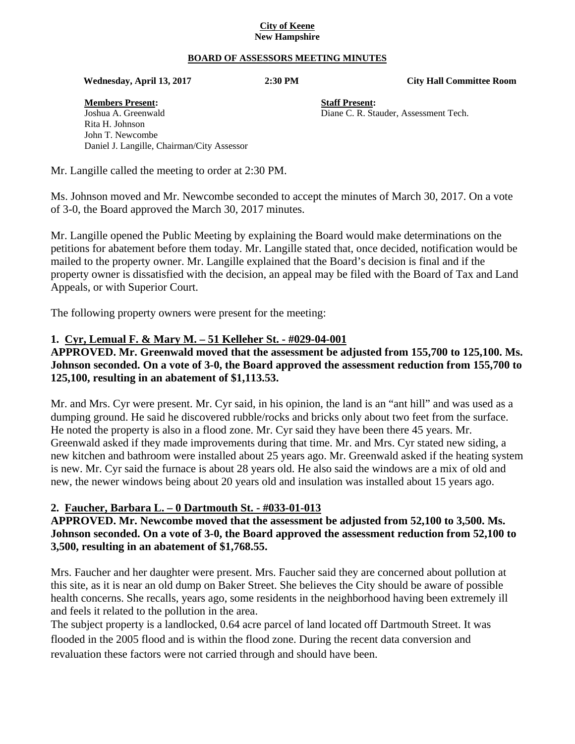#### **City of Keene New Hampshire**

#### **BOARD OF ASSESSORS MEETING MINUTES**

 **Wednesday, April 13, 2017 2:30 PM City Hall Committee Room** 

**Members Present: Staff Present:** Joshua A. Greenwald Diane C. R. Stauder, Assessment Tech. Rita H. Johnson John T. Newcombe Daniel J. Langille, Chairman/City Assessor

Mr. Langille called the meeting to order at 2:30 PM.

Ms. Johnson moved and Mr. Newcombe seconded to accept the minutes of March 30, 2017. On a vote of 3-0, the Board approved the March 30, 2017 minutes.

Mr. Langille opened the Public Meeting by explaining the Board would make determinations on the petitions for abatement before them today. Mr. Langille stated that, once decided, notification would be mailed to the property owner. Mr. Langille explained that the Board's decision is final and if the property owner is dissatisfied with the decision, an appeal may be filed with the Board of Tax and Land Appeals, or with Superior Court.

The following property owners were present for the meeting:

#### **1. Cyr, Lemual F. & Mary M. – 51 Kelleher St. - #029-04-001**

**APPROVED. Mr. Greenwald moved that the assessment be adjusted from 155,700 to 125,100. Ms. Johnson seconded. On a vote of 3-0, the Board approved the assessment reduction from 155,700 to 125,100, resulting in an abatement of \$1,113.53.** 

Mr. and Mrs. Cyr were present. Mr. Cyr said, in his opinion, the land is an "ant hill" and was used as a dumping ground. He said he discovered rubble/rocks and bricks only about two feet from the surface. He noted the property is also in a flood zone. Mr. Cyr said they have been there 45 years. Mr. Greenwald asked if they made improvements during that time. Mr. and Mrs. Cyr stated new siding, a new kitchen and bathroom were installed about 25 years ago. Mr. Greenwald asked if the heating system is new. Mr. Cyr said the furnace is about 28 years old. He also said the windows are a mix of old and new, the newer windows being about 20 years old and insulation was installed about 15 years ago.

#### **2. Faucher, Barbara L. – 0 Dartmouth St. - #033-01-013**

**APPROVED. Mr. Newcombe moved that the assessment be adjusted from 52,100 to 3,500. Ms. Johnson seconded. On a vote of 3-0, the Board approved the assessment reduction from 52,100 to 3,500, resulting in an abatement of \$1,768.55.** 

Mrs. Faucher and her daughter were present. Mrs. Faucher said they are concerned about pollution at this site, as it is near an old dump on Baker Street. She believes the City should be aware of possible health concerns. She recalls, years ago, some residents in the neighborhood having been extremely ill and feels it related to the pollution in the area.

The subject property is a landlocked, 0.64 acre parcel of land located off Dartmouth Street. It was flooded in the 2005 flood and is within the flood zone. During the recent data conversion and revaluation these factors were not carried through and should have been.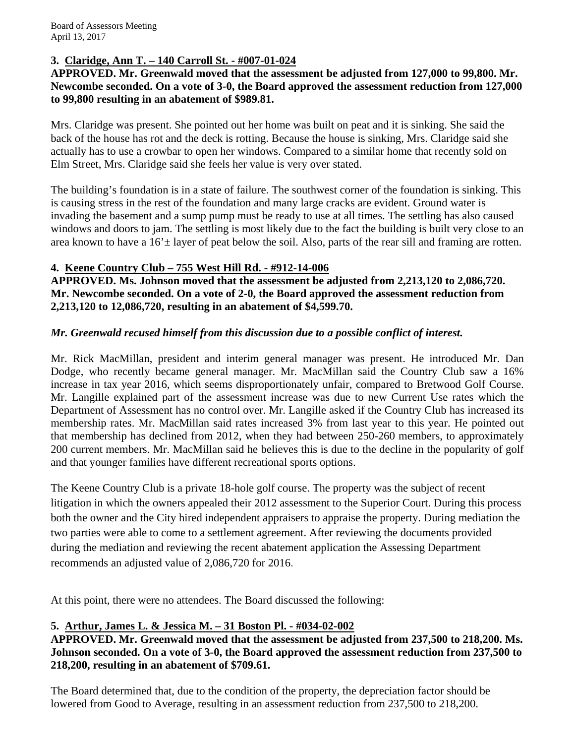# **3. Claridge, Ann T. – 140 Carroll St. - #007-01-024**

#### **APPROVED. Mr. Greenwald moved that the assessment be adjusted from 127,000 to 99,800. Mr. Newcombe seconded. On a vote of 3-0, the Board approved the assessment reduction from 127,000 to 99,800 resulting in an abatement of \$989.81.**

Mrs. Claridge was present. She pointed out her home was built on peat and it is sinking. She said the back of the house has rot and the deck is rotting. Because the house is sinking, Mrs. Claridge said she actually has to use a crowbar to open her windows. Compared to a similar home that recently sold on Elm Street, Mrs. Claridge said she feels her value is very over stated.

The building's foundation is in a state of failure. The southwest corner of the foundation is sinking. This is causing stress in the rest of the foundation and many large cracks are evident. Ground water is invading the basement and a sump pump must be ready to use at all times. The settling has also caused windows and doors to jam. The settling is most likely due to the fact the building is built very close to an area known to have a  $16' \pm$  layer of peat below the soil. Also, parts of the rear sill and framing are rotten.

## **4. Keene Country Club – 755 West Hill Rd. - #912-14-006**

**APPROVED. Ms. Johnson moved that the assessment be adjusted from 2,213,120 to 2,086,720. Mr. Newcombe seconded. On a vote of 2-0, the Board approved the assessment reduction from 2,213,120 to 12,086,720, resulting in an abatement of \$4,599.70.** 

## *Mr. Greenwald recused himself from this discussion due to a possible conflict of interest.*

Mr. Rick MacMillan, president and interim general manager was present. He introduced Mr. Dan Dodge, who recently became general manager. Mr. MacMillan said the Country Club saw a 16% increase in tax year 2016, which seems disproportionately unfair, compared to Bretwood Golf Course. Mr. Langille explained part of the assessment increase was due to new Current Use rates which the Department of Assessment has no control over. Mr. Langille asked if the Country Club has increased its membership rates. Mr. MacMillan said rates increased 3% from last year to this year. He pointed out that membership has declined from 2012, when they had between 250-260 members, to approximately 200 current members. Mr. MacMillan said he believes this is due to the decline in the popularity of golf and that younger families have different recreational sports options.

The Keene Country Club is a private 18-hole golf course. The property was the subject of recent litigation in which the owners appealed their 2012 assessment to the Superior Court. During this process both the owner and the City hired independent appraisers to appraise the property. During mediation the two parties were able to come to a settlement agreement. After reviewing the documents provided during the mediation and reviewing the recent abatement application the Assessing Department recommends an adjusted value of 2,086,720 for 2016.

At this point, there were no attendees. The Board discussed the following:

# **5. Arthur, James L. & Jessica M. – 31 Boston Pl. - #034-02-002**

# **APPROVED. Mr. Greenwald moved that the assessment be adjusted from 237,500 to 218,200. Ms. Johnson seconded. On a vote of 3-0, the Board approved the assessment reduction from 237,500 to 218,200, resulting in an abatement of \$709.61.**

The Board determined that, due to the condition of the property, the depreciation factor should be lowered from Good to Average, resulting in an assessment reduction from 237,500 to 218,200.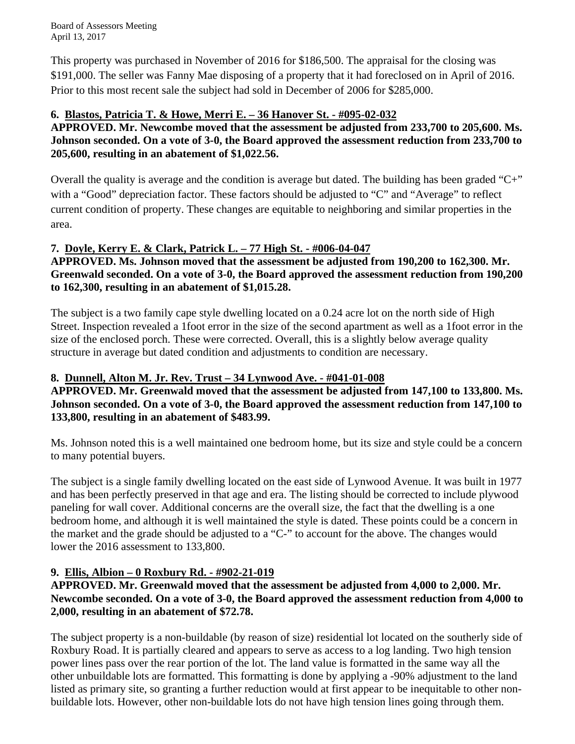This property was purchased in November of 2016 for \$186,500. The appraisal for the closing was \$191,000. The seller was Fanny Mae disposing of a property that it had foreclosed on in April of 2016. Prior to this most recent sale the subject had sold in December of 2006 for \$285,000.

# **6. Blastos, Patricia T. & Howe, Merri E. – 36 Hanover St. - #095-02-032**

**APPROVED. Mr. Newcombe moved that the assessment be adjusted from 233,700 to 205,600. Ms. Johnson seconded. On a vote of 3-0, the Board approved the assessment reduction from 233,700 to 205,600, resulting in an abatement of \$1,022.56.** 

Overall the quality is average and the condition is average but dated. The building has been graded "C+" with a "Good" depreciation factor. These factors should be adjusted to "C" and "Average" to reflect current condition of property. These changes are equitable to neighboring and similar properties in the area.

# **7. Doyle, Kerry E. & Clark, Patrick L. – 77 High St. - #006-04-047**

**APPROVED. Ms. Johnson moved that the assessment be adjusted from 190,200 to 162,300. Mr. Greenwald seconded. On a vote of 3-0, the Board approved the assessment reduction from 190,200 to 162,300, resulting in an abatement of \$1,015.28.** 

The subject is a two family cape style dwelling located on a 0.24 acre lot on the north side of High Street. Inspection revealed a 1foot error in the size of the second apartment as well as a 1foot error in the size of the enclosed porch. These were corrected. Overall, this is a slightly below average quality structure in average but dated condition and adjustments to condition are necessary.

# **8. Dunnell, Alton M. Jr. Rev. Trust – 34 Lynwood Ave. - #041-01-008**

**APPROVED. Mr. Greenwald moved that the assessment be adjusted from 147,100 to 133,800. Ms. Johnson seconded. On a vote of 3-0, the Board approved the assessment reduction from 147,100 to 133,800, resulting in an abatement of \$483.99.** 

Ms. Johnson noted this is a well maintained one bedroom home, but its size and style could be a concern to many potential buyers.

The subject is a single family dwelling located on the east side of Lynwood Avenue. It was built in 1977 and has been perfectly preserved in that age and era. The listing should be corrected to include plywood paneling for wall cover. Additional concerns are the overall size, the fact that the dwelling is a one bedroom home, and although it is well maintained the style is dated. These points could be a concern in the market and the grade should be adjusted to a "C-" to account for the above. The changes would lower the 2016 assessment to 133,800.

# **9. Ellis, Albion – 0 Roxbury Rd. - #902-21-019**

# **APPROVED. Mr. Greenwald moved that the assessment be adjusted from 4,000 to 2,000. Mr. Newcombe seconded. On a vote of 3-0, the Board approved the assessment reduction from 4,000 to 2,000, resulting in an abatement of \$72.78.**

The subject property is a non-buildable (by reason of size) residential lot located on the southerly side of Roxbury Road. It is partially cleared and appears to serve as access to a log landing. Two high tension power lines pass over the rear portion of the lot. The land value is formatted in the same way all the other unbuildable lots are formatted. This formatting is done by applying a -90% adjustment to the land listed as primary site, so granting a further reduction would at first appear to be inequitable to other nonbuildable lots. However, other non-buildable lots do not have high tension lines going through them.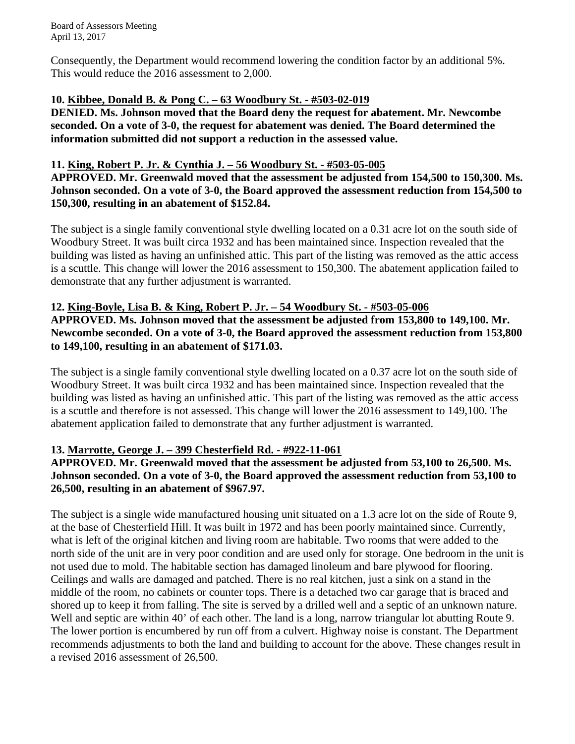Consequently, the Department would recommend lowering the condition factor by an additional 5%. This would reduce the 2016 assessment to 2,000.

#### **10. Kibbee, Donald B. & Pong C. – 63 Woodbury St. - #503-02-019**

**DENIED. Ms. Johnson moved that the Board deny the request for abatement. Mr. Newcombe seconded. On a vote of 3-0, the request for abatement was denied. The Board determined the information submitted did not support a reduction in the assessed value.** 

#### **11. King, Robert P. Jr. & Cynthia J. – 56 Woodbury St. - #503-05-005**

**APPROVED. Mr. Greenwald moved that the assessment be adjusted from 154,500 to 150,300. Ms. Johnson seconded. On a vote of 3-0, the Board approved the assessment reduction from 154,500 to 150,300, resulting in an abatement of \$152.84.** 

The subject is a single family conventional style dwelling located on a 0.31 acre lot on the south side of Woodbury Street. It was built circa 1932 and has been maintained since. Inspection revealed that the building was listed as having an unfinished attic. This part of the listing was removed as the attic access is a scuttle. This change will lower the 2016 assessment to 150,300. The abatement application failed to demonstrate that any further adjustment is warranted.

## **12. King-Boyle, Lisa B. & King, Robert P. Jr. – 54 Woodbury St. - #503-05-006**

**APPROVED. Ms. Johnson moved that the assessment be adjusted from 153,800 to 149,100. Mr. Newcombe seconded. On a vote of 3-0, the Board approved the assessment reduction from 153,800 to 149,100, resulting in an abatement of \$171.03.** 

The subject is a single family conventional style dwelling located on a 0.37 acre lot on the south side of Woodbury Street. It was built circa 1932 and has been maintained since. Inspection revealed that the building was listed as having an unfinished attic. This part of the listing was removed as the attic access is a scuttle and therefore is not assessed. This change will lower the 2016 assessment to 149,100. The abatement application failed to demonstrate that any further adjustment is warranted.

## **13. Marrotte, George J. – 399 Chesterfield Rd. - #922-11-061**

**APPROVED. Mr. Greenwald moved that the assessment be adjusted from 53,100 to 26,500. Ms. Johnson seconded. On a vote of 3-0, the Board approved the assessment reduction from 53,100 to 26,500, resulting in an abatement of \$967.97.** 

The subject is a single wide manufactured housing unit situated on a 1.3 acre lot on the side of Route 9, at the base of Chesterfield Hill. It was built in 1972 and has been poorly maintained since. Currently, what is left of the original kitchen and living room are habitable. Two rooms that were added to the north side of the unit are in very poor condition and are used only for storage. One bedroom in the unit is not used due to mold. The habitable section has damaged linoleum and bare plywood for flooring. Ceilings and walls are damaged and patched. There is no real kitchen, just a sink on a stand in the middle of the room, no cabinets or counter tops. There is a detached two car garage that is braced and shored up to keep it from falling. The site is served by a drilled well and a septic of an unknown nature. Well and septic are within 40' of each other. The land is a long, narrow triangular lot abutting Route 9. The lower portion is encumbered by run off from a culvert. Highway noise is constant. The Department recommends adjustments to both the land and building to account for the above. These changes result in a revised 2016 assessment of 26,500.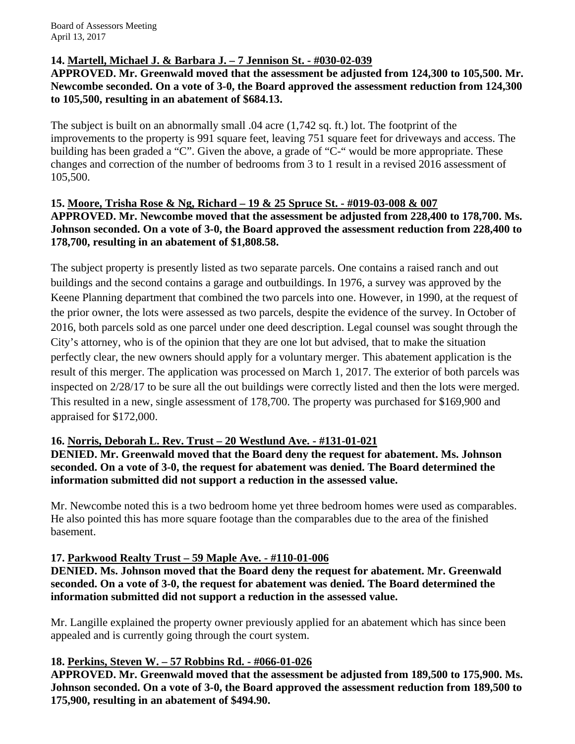#### **14. Martell, Michael J. & Barbara J. – 7 Jennison St. - #030-02-039**

**APPROVED. Mr. Greenwald moved that the assessment be adjusted from 124,300 to 105,500. Mr. Newcombe seconded. On a vote of 3-0, the Board approved the assessment reduction from 124,300 to 105,500, resulting in an abatement of \$684.13.** 

The subject is built on an abnormally small .04 acre (1,742 sq. ft.) lot. The footprint of the improvements to the property is 991 square feet, leaving 751 square feet for driveways and access. The building has been graded a "C". Given the above, a grade of "C-" would be more appropriate. These changes and correction of the number of bedrooms from 3 to 1 result in a revised 2016 assessment of 105,500.

## **15. Moore, Trisha Rose & Ng, Richard – 19 & 25 Spruce St. - #019-03-008 & 007 APPROVED. Mr. Newcombe moved that the assessment be adjusted from 228,400 to 178,700. Ms. Johnson seconded. On a vote of 3-0, the Board approved the assessment reduction from 228,400 to 178,700, resulting in an abatement of \$1,808.58.**

The subject property is presently listed as two separate parcels. One contains a raised ranch and out buildings and the second contains a garage and outbuildings. In 1976, a survey was approved by the Keene Planning department that combined the two parcels into one. However, in 1990, at the request of the prior owner, the lots were assessed as two parcels, despite the evidence of the survey. In October of 2016, both parcels sold as one parcel under one deed description. Legal counsel was sought through the City's attorney, who is of the opinion that they are one lot but advised, that to make the situation perfectly clear, the new owners should apply for a voluntary merger. This abatement application is the result of this merger. The application was processed on March 1, 2017. The exterior of both parcels was inspected on 2/28/17 to be sure all the out buildings were correctly listed and then the lots were merged. This resulted in a new, single assessment of 178,700. The property was purchased for \$169,900 and appraised for \$172,000.

## **16. Norris, Deborah L. Rev. Trust – 20 Westlund Ave. - #131-01-021**

**DENIED. Mr. Greenwald moved that the Board deny the request for abatement. Ms. Johnson seconded. On a vote of 3-0, the request for abatement was denied. The Board determined the information submitted did not support a reduction in the assessed value.** 

Mr. Newcombe noted this is a two bedroom home yet three bedroom homes were used as comparables. He also pointed this has more square footage than the comparables due to the area of the finished basement.

## **17. Parkwood Realty Trust – 59 Maple Ave. - #110-01-006**

**DENIED. Ms. Johnson moved that the Board deny the request for abatement. Mr. Greenwald seconded. On a vote of 3-0, the request for abatement was denied. The Board determined the information submitted did not support a reduction in the assessed value.** 

Mr. Langille explained the property owner previously applied for an abatement which has since been appealed and is currently going through the court system.

## **18. Perkins, Steven W. – 57 Robbins Rd. - #066-01-026**

**APPROVED. Mr. Greenwald moved that the assessment be adjusted from 189,500 to 175,900. Ms. Johnson seconded. On a vote of 3-0, the Board approved the assessment reduction from 189,500 to 175,900, resulting in an abatement of \$494.90.**